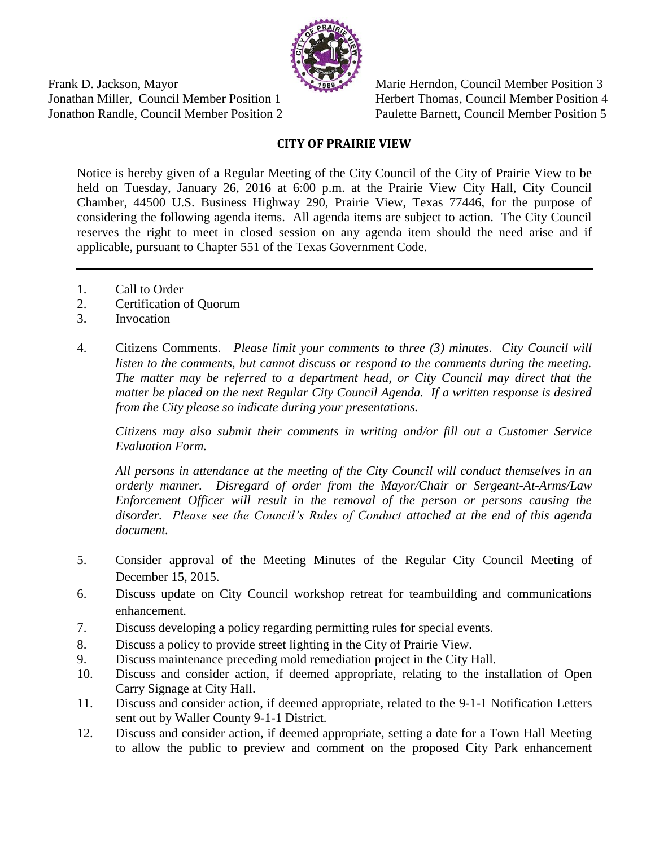

Frank D. Jackson, Mayor Marie Herndon, Council Member Position 3 Jonathan Miller, Council Member Position 1 Herbert Thomas, Council Member Position 4 Jonathon Randle, Council Member Position 2 Paulette Barnett, Council Member Position 5

## **CITY OF PRAIRIE VIEW**

Notice is hereby given of a Regular Meeting of the City Council of the City of Prairie View to be held on Tuesday, January 26, 2016 at 6:00 p.m. at the Prairie View City Hall, City Council Chamber, 44500 U.S. Business Highway 290, Prairie View, Texas 77446, for the purpose of considering the following agenda items. All agenda items are subject to action. The City Council reserves the right to meet in closed session on any agenda item should the need arise and if applicable, pursuant to Chapter 551 of the Texas Government Code.

- 1. Call to Order
- 2. Certification of Quorum
- 3. Invocation
- 4. Citizens Comments. *Please limit your comments to three (3) minutes. City Council will listen to the comments, but cannot discuss or respond to the comments during the meeting. The matter may be referred to a department head, or City Council may direct that the matter be placed on the next Regular City Council Agenda. If a written response is desired from the City please so indicate during your presentations.*

*Citizens may also submit their comments in writing and/or fill out a Customer Service Evaluation Form.* 

*All persons in attendance at the meeting of the City Council will conduct themselves in an orderly manner. Disregard of order from the Mayor/Chair or Sergeant-At-Arms/Law Enforcement Officer will result in the removal of the person or persons causing the disorder. Please see the Council's Rules of Conduct attached at the end of this agenda document.*

- 5. Consider approval of the Meeting Minutes of the Regular City Council Meeting of December 15, 2015.
- 6. Discuss update on City Council workshop retreat for teambuilding and communications enhancement.
- 7. Discuss developing a policy regarding permitting rules for special events.
- 8. Discuss a policy to provide street lighting in the City of Prairie View.
- 9. Discuss maintenance preceding mold remediation project in the City Hall.
- 10. Discuss and consider action, if deemed appropriate, relating to the installation of Open Carry Signage at City Hall.
- 11. Discuss and consider action, if deemed appropriate, related to the 9-1-1 Notification Letters sent out by Waller County 9-1-1 District.
- 12. Discuss and consider action, if deemed appropriate, setting a date for a Town Hall Meeting to allow the public to preview and comment on the proposed City Park enhancement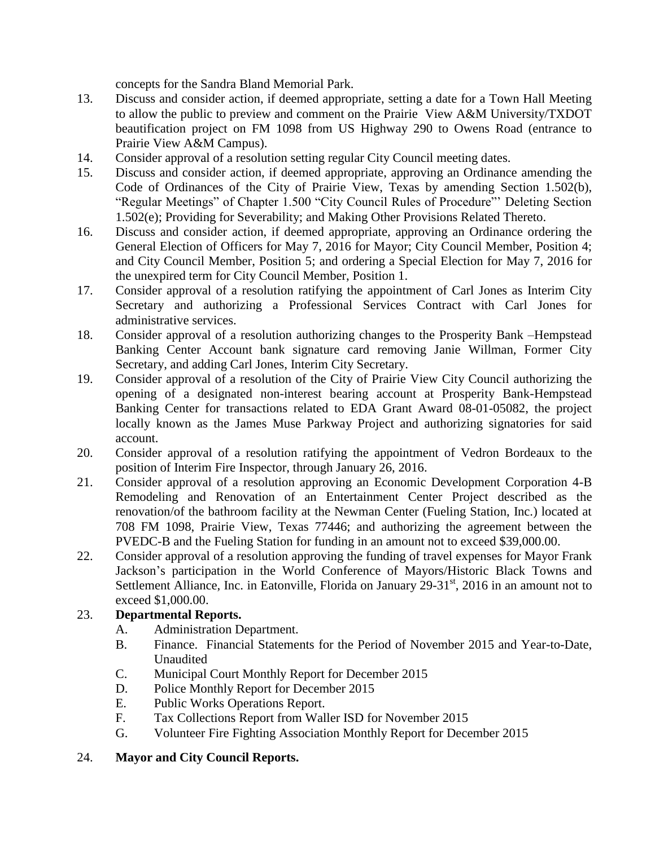concepts for the Sandra Bland Memorial Park.

- 13. Discuss and consider action, if deemed appropriate, setting a date for a Town Hall Meeting to allow the public to preview and comment on the Prairie View A&M University/TXDOT beautification project on FM 1098 from US Highway 290 to Owens Road (entrance to Prairie View A&M Campus).
- 14. Consider approval of a resolution setting regular City Council meeting dates.
- 15. Discuss and consider action, if deemed appropriate, approving an Ordinance amending the Code of Ordinances of the City of Prairie View, Texas by amending Section 1.502(b), "Regular Meetings" of Chapter 1.500 "City Council Rules of Procedure"' Deleting Section 1.502(e); Providing for Severability; and Making Other Provisions Related Thereto.
- 16. Discuss and consider action, if deemed appropriate, approving an Ordinance ordering the General Election of Officers for May 7, 2016 for Mayor; City Council Member, Position 4; and City Council Member, Position 5; and ordering a Special Election for May 7, 2016 for the unexpired term for City Council Member, Position 1.
- 17. Consider approval of a resolution ratifying the appointment of Carl Jones as Interim City Secretary and authorizing a Professional Services Contract with Carl Jones for administrative services.
- 18. Consider approval of a resolution authorizing changes to the Prosperity Bank –Hempstead Banking Center Account bank signature card removing Janie Willman, Former City Secretary, and adding Carl Jones, Interim City Secretary.
- 19. Consider approval of a resolution of the City of Prairie View City Council authorizing the opening of a designated non-interest bearing account at Prosperity Bank-Hempstead Banking Center for transactions related to EDA Grant Award 08-01-05082, the project locally known as the James Muse Parkway Project and authorizing signatories for said account.
- 20. Consider approval of a resolution ratifying the appointment of Vedron Bordeaux to the position of Interim Fire Inspector, through January 26, 2016.
- 21. Consider approval of a resolution approving an Economic Development Corporation 4-B Remodeling and Renovation of an Entertainment Center Project described as the renovation/of the bathroom facility at the Newman Center (Fueling Station, Inc.) located at 708 FM 1098, Prairie View, Texas 77446; and authorizing the agreement between the PVEDC-B and the Fueling Station for funding in an amount not to exceed \$39,000.00.
- 22. Consider approval of a resolution approving the funding of travel expenses for Mayor Frank Jackson's participation in the World Conference of Mayors/Historic Black Towns and Settlement Alliance, Inc. in Eatonville, Florida on January  $29-31<sup>st</sup>$ , 2016 in an amount not to exceed \$1,000.00.

### 23. **Departmental Reports.**

- A. Administration Department.
- B. Finance. Financial Statements for the Period of November 2015 and Year-to-Date, Unaudited
- C. Municipal Court Monthly Report for December 2015
- D. Police Monthly Report for December 2015
- E. Public Works Operations Report.
- F. Tax Collections Report from Waller ISD for November 2015
- G. Volunteer Fire Fighting Association Monthly Report for December 2015

### 24. **Mayor and City Council Reports.**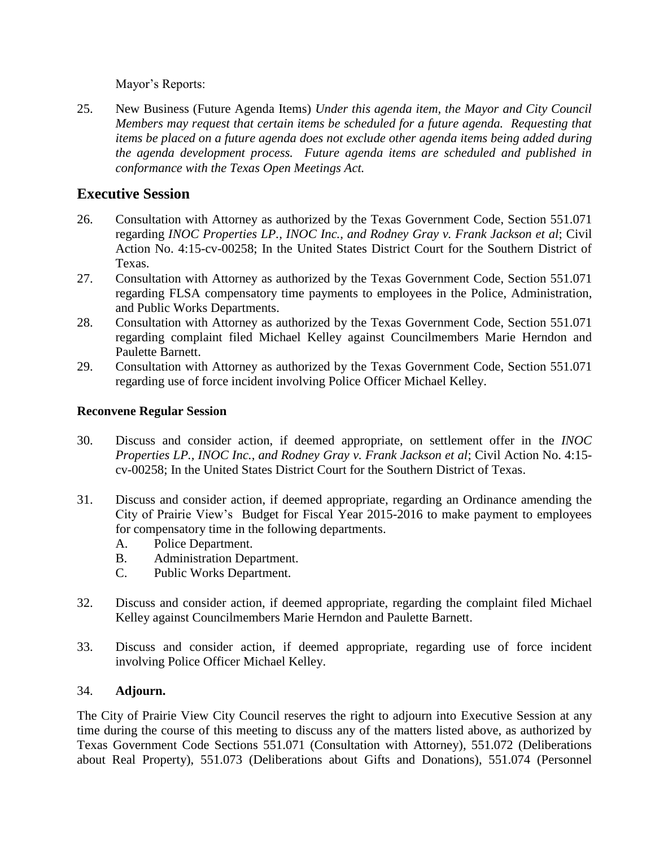Mayor's Reports:

25. New Business (Future Agenda Items) *Under this agenda item, the Mayor and City Council Members may request that certain items be scheduled for a future agenda. Requesting that items be placed on a future agenda does not exclude other agenda items being added during the agenda development process. Future agenda items are scheduled and published in conformance with the Texas Open Meetings Act.* 

# **Executive Session**

- 26. Consultation with Attorney as authorized by the Texas Government Code, Section 551.071 regarding *INOC Properties LP., INOC Inc., and Rodney Gray v. Frank Jackson et al*; Civil Action No. 4:15-cv-00258; In the United States District Court for the Southern District of Texas.
- 27. Consultation with Attorney as authorized by the Texas Government Code, Section 551.071 regarding FLSA compensatory time payments to employees in the Police, Administration, and Public Works Departments.
- 28. Consultation with Attorney as authorized by the Texas Government Code, Section 551.071 regarding complaint filed Michael Kelley against Councilmembers Marie Herndon and Paulette Barnett.
- 29. Consultation with Attorney as authorized by the Texas Government Code, Section 551.071 regarding use of force incident involving Police Officer Michael Kelley.

### **Reconvene Regular Session**

- 30. Discuss and consider action, if deemed appropriate, on settlement offer in the *INOC Properties LP., INOC Inc., and Rodney Gray v. Frank Jackson et al*; Civil Action No. 4:15 cv-00258; In the United States District Court for the Southern District of Texas.
- 31. Discuss and consider action, if deemed appropriate, regarding an Ordinance amending the City of Prairie View's Budget for Fiscal Year 2015-2016 to make payment to employees for compensatory time in the following departments.
	- A. Police Department.
	- B. Administration Department.
	- C. Public Works Department.
- 32. Discuss and consider action, if deemed appropriate, regarding the complaint filed Michael Kelley against Councilmembers Marie Herndon and Paulette Barnett.
- 33. Discuss and consider action, if deemed appropriate, regarding use of force incident involving Police Officer Michael Kelley.

### 34. **Adjourn.**

The City of Prairie View City Council reserves the right to adjourn into Executive Session at any time during the course of this meeting to discuss any of the matters listed above, as authorized by Texas Government Code Sections 551.071 (Consultation with Attorney), 551.072 (Deliberations about Real Property), 551.073 (Deliberations about Gifts and Donations), 551.074 (Personnel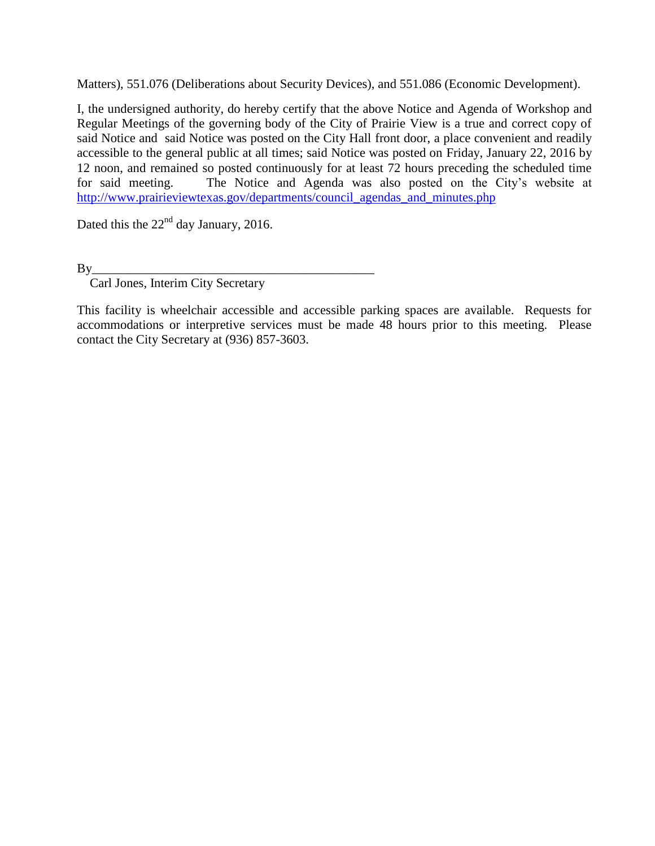Matters), 551.076 (Deliberations about Security Devices), and 551.086 (Economic Development).

I, the undersigned authority, do hereby certify that the above Notice and Agenda of Workshop and Regular Meetings of the governing body of the City of Prairie View is a true and correct copy of said Notice and said Notice was posted on the City Hall front door, a place convenient and readily accessible to the general public at all times; said Notice was posted on Friday, January 22, 2016 by 12 noon, and remained so posted continuously for at least 72 hours preceding the scheduled time for said meeting. The Notice and Agenda was also posted on the City's website at [http://www.prairieviewtexas.gov/departments/council\\_agendas\\_and\\_minutes.php](http://www.prairieviewtexas.gov/departments/council_agendas_and_minutes.php)

Dated this the  $22<sup>nd</sup>$  day January, 2016.

By\_\_\_\_\_\_\_\_\_\_\_\_\_\_\_\_\_\_\_\_\_\_\_\_\_\_\_\_\_\_\_\_\_\_\_\_\_\_\_\_\_\_\_\_

Carl Jones, Interim City Secretary

This facility is wheelchair accessible and accessible parking spaces are available. Requests for accommodations or interpretive services must be made 48 hours prior to this meeting. Please contact the City Secretary at (936) 857-3603.